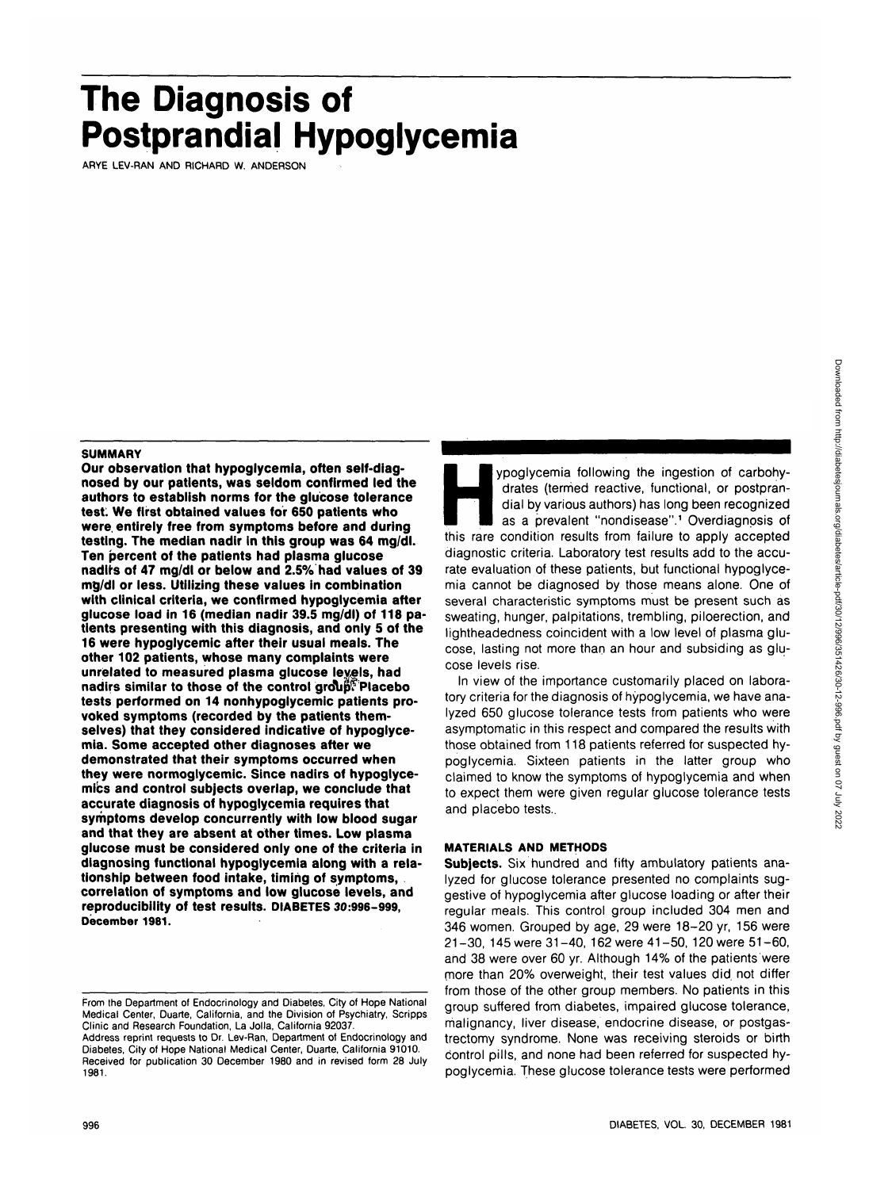# **The Diagnosis of Postprandial Hypoglycemia**

ARYE LEV-RAN AND RICHARD W. ANDERSON

#### **SUMMARY**

**Our observation that hypoglycemia, often self-diagnosed by our patients, was seldom confirmed led the authors to establish norms for the glucose tolerance test: We first obtained values for 650 patients who were, entirely free from symptoms before and during testing. The median nadir in this group was 64 mg/dl. Ten percent of the patients had plasma glucose nadirs of 47 mg/dl or below and 2.5% had values of 39 mg/dl or less. Utilizing these values in combination with clinical criteria, we confirmed hypoglycemia after glucose load in 16 (median nadir 39.5 mg/dl) of 118 patients presenting with this diagnosis, and only 5 of the 16 were hypoglycemic after their usual meals. The other 102 patients, whose many complaints were unrelated to measured plasma glucose levels, had nadirs similar to those of the control grolip? Placebo tests performed on 14 nonhypoglycemic patients provoked symptoms (recorded by the patients themselves) that they considered indicative of hypoglycemia. Some accepted other diagnoses after we demonstrated that their symptoms occurred when they were normoglycemic. Since nadirs of hypoglyce**mics and control subjects overlap, we conclude that **accurate diagnosis of hypoglycemia requires that symptoms develop concurrently with low blood sugar and that they are absent at other times. Low plasma glucose must be considered only one of the criteria in diagnosing functional hypoglycemia along with a relationship between food intake, timing of symptoms, correlation of symptoms and low glucose levels, and reproducibility of test results. DIABETES 30:996-999, December 1981.**

ypoglycemia following the ingestion of carbohy-<br>drates (termed reactive, functional, or postpran-<br>dial by various authors) has long been recognized<br>as a prevalent "nondisease".<sup>1</sup> Overdiagnosis of<br>this rare condition resul drates (termed reactive, functional, or postprandial by various authors) has long been recognized as a prevalent "nondisease".<sup>1</sup> Overdiagnosis of diagnostic criteria. Laboratory test results add to the accurate evaluation of these patients, but functional hypoglycemia cannot be diagnosed by those means alone. One of several characteristic symptoms must be present such as sweating, hunger, palpitations, trembling, piloerection, and lightheadedness coincident with a low level of plasma glucose, lasting not more than an hour and subsiding as glucose levels rise.

In view of the importance customarily placed on laboratory criteria for the diagnosis of hypoglycemia, we have analyzed 650 glucose tolerance tests from patients who were asymptomatic in this respect and compared the results with those obtained from 118 patients referred for suspected hypoglycemia. Sixteen patients in the latter group who claimed to know the symptoms of hypoglycemia and when to expect them were given regular glucose tolerance tests and placebo tests..

## **MATERIALS AND METHODS**

**Subjects.** Six hundred and fifty ambulatory patients analyzed for glucose tolerance presented no complaints suggestive of hypoglycemia after glucose loading or after their regular meals. This control group included 304 men and 346 women. Grouped by age, 29 were 18-20 yr, 156 were 21-30, 145 were 31-40, 162 were 41-50, 120 were 51-60, and 38 were over 60 yr. Although 14% of the patients were more than 20% overweight, their test values did. not differ from those of the other group members. No patients in this group suffered from diabetes, impaired glucose tolerance, malignancy, liver disease, endocrine disease, or postgastrectomy syndrome. None was receiving steroids or birth control pills, and none had been referred for suspected hypoglycemia. These glucose tolerance tests were performed

From the Department of Endocrinology and Diabetes, City of Hope National Medical Center, Duarte, California, and the Division of Psychiatry, Scripps Clinic and Research Foundation, La Jolla, California 92037.

Address reprint requests to Dr. Lev-Ran, Department of Endocrinology and Diabetes, City of Hope National Medical Center, Duarte, California 91010. Received for publication 30 December 1980 and in revised form 28 July **1981.**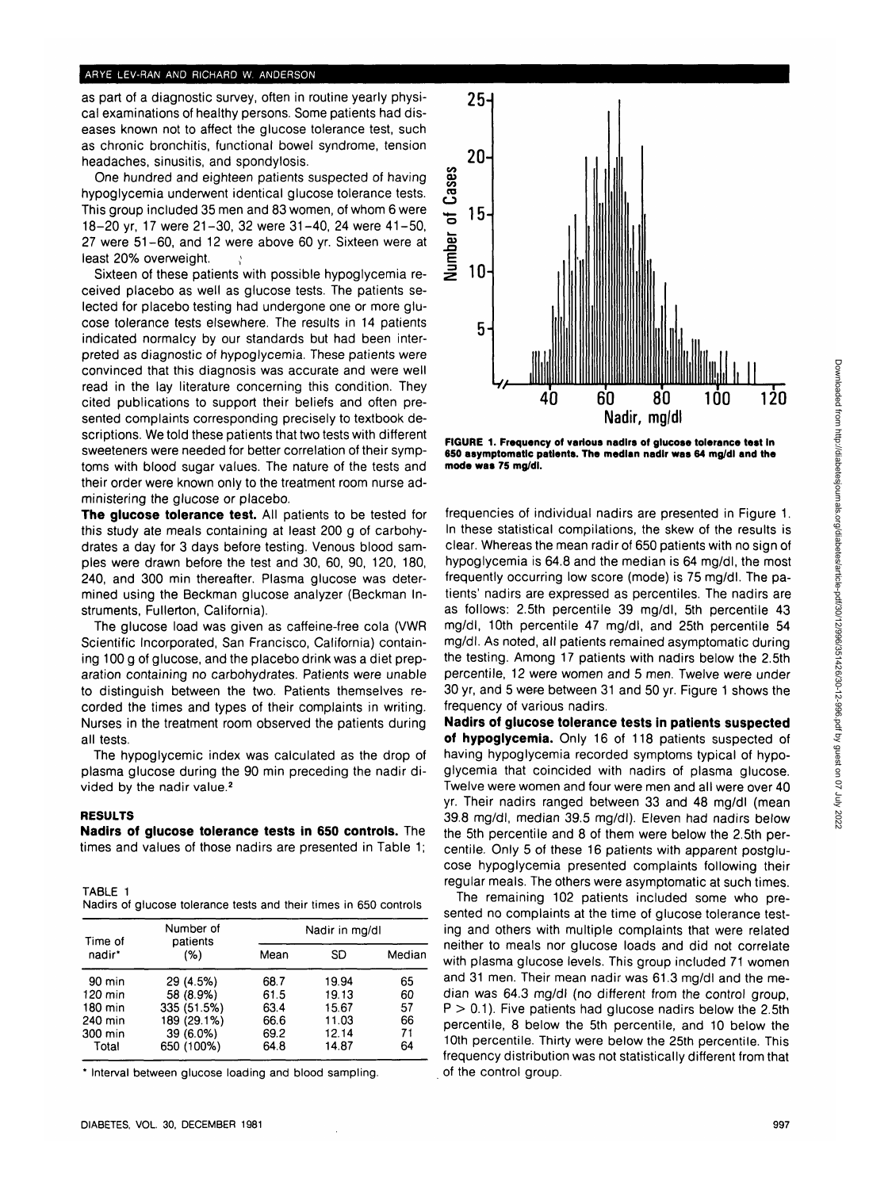#### **ARYE LEV-RAN AND RICHARD W. ANDERSON**

as part of a diagnostic survey, often in routine yearly physical examinations of healthy persons. Some patients had diseases known not to affect the glucose tolerance test, such as chronic bronchitis, functional bowel syndrome, tension headaches, sinusitis, and spondylosis.

One hundred and eighteen patients suspected of having hypoglycemia underwent identical glucose tolerance tests. This group included 35 men and 83 women, of whom 6 were 18-20 yr, 17 were 21-30, 32 were 31-40, 24 were 41-50, 27 were 51-60, and 12 were above 60 yr. Sixteen were at least 20% overweight.  $\mathcal{L}$ 

Sixteen of these patients with possible hypoglycemia received placebo as well as glucose tests. The patients selected for placebo testing had undergone one or more glucose tolerance tests elsewhere. The results in 14 patients indicated normalcy by our standards but had been interpreted as diagnostic of hypoglycemia. These patients were convinced that this diagnosis was accurate and were well read in the lay literature concerning this condition. They cited publications to support their beliefs and often presented complaints corresponding precisely to textbook descriptions. We told these patients that two tests with different sweeteners were needed for better correlation of their symptoms with blood sugar values. The nature of the tests and their order were known only to the treatment room nurse administering the glucose or placebo.

**The glucose tolerance test.** All patients to be tested for this study ate meals containing at least 200 g of carbohydrates a day for 3 days before testing. Venous blood samples were drawn before the test and 30, 60, 90, 120, 180, 240, and 300 min thereafter. Plasma glucose was determined using the Beckman glucose analyzer (Beckman Instruments, Fullerton, California).

The glucose load was given as caffeine-free cola (VWR Scientific Incorporated, San Francisco, California) containing 100 g of glucose, and the placebo drink was a diet preparation containing no carbohydrates. Patients were unable to distinguish between the two. Patients themselves recorded the times and types of their complaints in writing. Nurses in the treatment room observed the patients during all tests.

The hypoglycemic index was calculated as the drop of plasma glucose during the 90 min preceding the nadir divided by the nadir value.<sup>2</sup>

#### **RESULTS**

**Nadirs of glucose tolerance tests in 650 controls.** The times and values of those nadirs are presented in Table 1;

TABLE 1 Nadirs of glucose tolerance tests and their times in 650 controls

| Time of | Number of<br>patients | Nadir in mg/dl |       |        |
|---------|-----------------------|----------------|-------|--------|
| nadir*  | (%)                   | Mean           | SD    | Median |
| 90 min  | 29 (4.5%)             | 68.7           | 19.94 | 65     |
| 120 min | 58 (8.9%)             | 61.5           | 19.13 | 60     |
| 180 min | 335 (51.5%)           | 63.4           | 15.67 | 57     |
| 240 min | 189 (29.1%)           | 66.6           | 11.03 | 66     |
| 300 min | 39 (6.0%)             | 69.2           | 12.14 | 71     |
| Total   | 650 (100%)            | 64.8           | 14.87 | 64     |

\* Interval between glucose loading and blood sampling.



**FIGURE 1. Frequency of various nadirs of glucose tolerance test In 650 asymptomatic patients. The median nadir was 64 mg/dl and the mode was 75 mg/dl.**

frequencies of individual nadirs are presented in Figure 1. In these statistical compilations, the skew of the results is clear. Whereas the mean radir of 650 patients with no sign of hypoglycemia is 64.8 and the median is 64 mg/dl, the most frequently occurring low score (mode) is 75 mg/dl. The patients' nadirs are expressed as percentiles. The nadirs are as follows: 2.5th percentile 39 mg/dl, 5th percentile 43 mg/dl, 10th percentile 47 mg/dl, and 25th percentile 54 mg/dl. As noted, all patients remained asymptomatic during the testing. Among 17 patients with nadirs below the 2.5th percentile, 12 were women and 5 men. Twelve were under 30 yr, and 5 were between 31 and 50 yr. Figure 1 shows the frequency of various nadirs.

**Nadirs of glucose tolerance tests in patients suspected of hypoglycemia.** Only 16 of 118 patients suspected of having hypoglycemia recorded symptoms typical of hypoglycemia that coincided with nadirs of plasma glucose. Twelve were women and four were men and all were over 40 yr. Their nadirs ranged between 33 and 48 mg/dl (mean 39.8 mg/dl, median 39.5 mg/dl). Eleven had nadirs below the 5th percentile and 8 of them were below the 2.5th percentile. Only 5 of these 16 patients with apparent postglucose hypoglycemia presented complaints following their regular meals. The others were asymptomatic at such times.

The remaining 102 patients included some who presented no complaints at the time of glucose tolerance testing and others with multiple complaints that were related neither to meals nor glucose loads and did not correlate with plasma glucose levels. This group included 71 women and 31 men. Their mean nadir was 61.3 mg/dl and the median was 64.3 mg/dl (no different from the control group,  $P > 0.1$ ). Five patients had glucose nadirs below the 2.5th percentile, 8 below the 5th percentile, and 10 below the 10th percentile. Thirty were below the 25th percentile. This frequency distribution was not statistically different from that of the control group.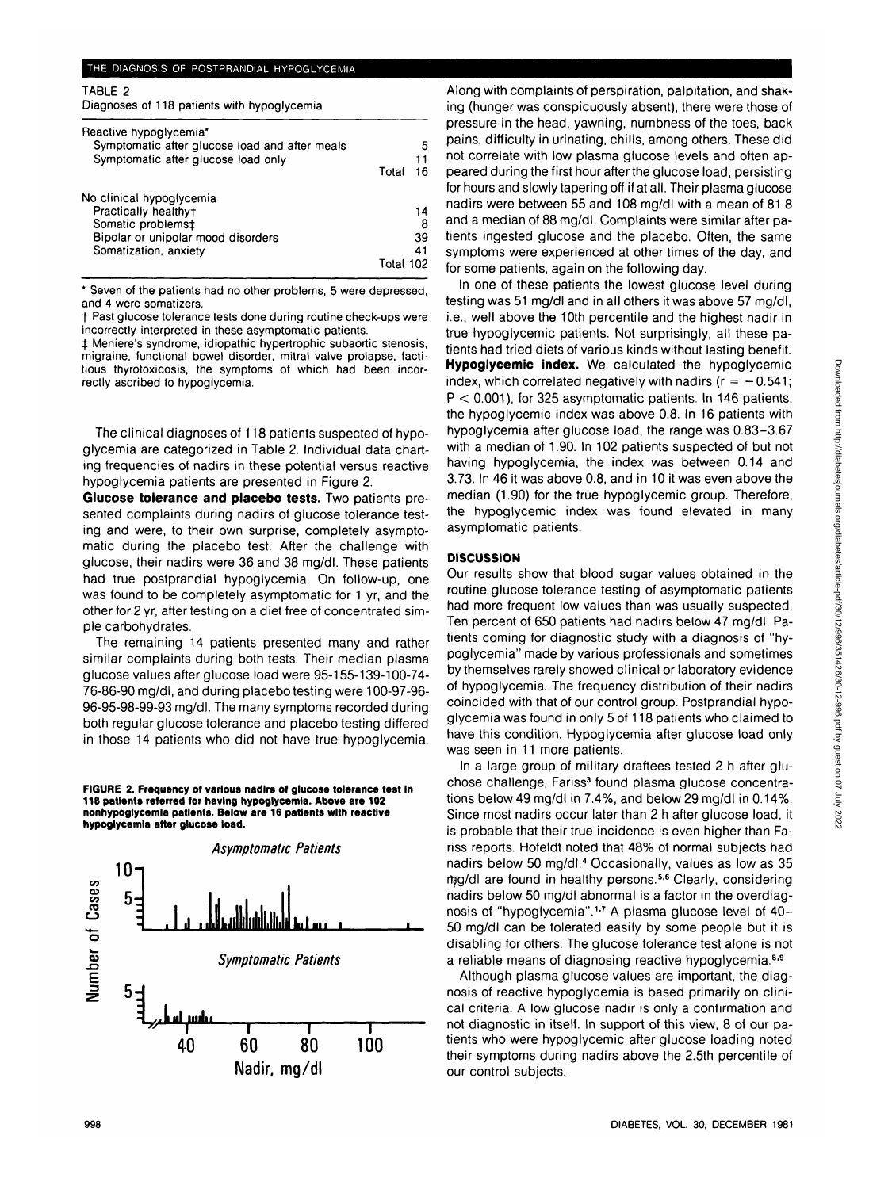TABLE 2

| Diagnoses of 118 patients with hypoglycemia                                                                                          |           |                     |
|--------------------------------------------------------------------------------------------------------------------------------------|-----------|---------------------|
| Reactive hypoglycemia*<br>Symptomatic after glucose load and after meals<br>Symptomatic after glucose load only                      | Total     | 5<br>11<br>16       |
| No clinical hypoglycemia<br>Practically healthy†<br>Somatic problems‡<br>Bipolar or unipolar mood disorders<br>Somatization, anxiety | Total 102 | 14<br>8<br>39<br>41 |

\* Seven of the patients had no other problems, 5 were depressed, and 4 were somatizers.

t Past glucose tolerance tests done during routine check-ups were incorrectly interpreted in these asymptomatic patients.

 $\ddagger$  Meniere's syndrome, idiopathic hypertrophic subaortic stenosis, migraine, functional bowel disorder, mitral valve prolapse, factitious thyrotoxicosis, the symptoms of which had been incorrectly ascribed to hypoglycemia.

The clinical diagnoses of 118 patients suspected of hypoglycemia are categorized in Table 2. Individual data charting frequencies of nadirs in these potential versus reactive hypoglycemia patients are presented in Figure 2.

**Glucose tolerance and placebo tests.** Two patients presented complaints during nadirs of glucose tolerance testing and were, to their own surprise, completely asymptomatic during the placebo test. After the challenge with glucose, their nadirs were 36 and 38 mg/dl. These patients had true postprandial hypoglycemia. On follow-up, one was found to be completely asymptomatic for 1 yr, and the other for 2 yr, after testing on a diet free of concentrated simple carbohydrates.

The remaining 14 patients presented many and rather similar complaints during both tests. Their median plasma glucose values after glucose load were 95-155-139-100-74- 76-86-90 mg/dl, and during placebo testing were 100-97-96- 96-95-98-99-93 mg/dl. The many symptoms recorded during both regular glucose tolerance and placebo testing differed in those 14 patients who did not have true hypoglycemia.

**FIGURE 2. Frequency of various nadirs of glucose tolerance test In 118 patients referred for having hypoglycemia. Above are 102 nonhypoglycemla patients. Below are 16 patients with reactive hypoglycemia after glucose load.**



Along with complaints of perspiration, palpitation, and shaking (hunger was conspicuously absent), there were those of pressure in the head, yawning, numbness of the toes, back pains, difficulty in urinating, chills, among others. These did not correlate with low plasma glucose levels and often appeared during the first hour after the glucose load, persisting for hours and slowly tapering off if at all. Their plasma glucose nadirs were between 55 and 108 mg/dl with a mean of 81.8 and a median of 88 mg/dl. Complaints were similar after patients ingested glucose and the placebo. Often, the same symptoms were experienced at other times of the day, and for some patients, again on the following day.

In one of these patients the lowest glucose level during testing was 51 mg/dl and in all others it was above 57 mg/dl, i.e., well above the 10th percentile and the highest nadir in true hypoglycemic patients. Not surprisingly, all these patients had tried diets of various kinds without lasting benefit. **Hypoglycemic index.** We calculated the hypoglycemic index, which correlated negatively with nadirs ( $r = -0.541$ ; P < 0.001), for 325 asymptomatic patients. In 146 patients, the hypoglycemic index was above 0.8. In 16 patients with hypoglycemia after glucose load, the range was 0.83-3.67 with a median of 1.90. In 102 patients suspected of but not having hypoglycemia, the index was between 0.14 and 3.73. In 46 it was above 0.8, and in 10 it was even above the median (1.90) for the true hypoglycemic group. Therefore, the hypoglycemic index was found elevated in many asymptomatic patients.

### **DISCUSSION**

Our results show that blood sugar values obtained in the routine glucose tolerance testing of asymptomatic patients had more frequent low values than was usually suspected. Ten percent of 650 patients had nadirs below 47 mg/dl. Patients coming for diagnostic study with a diagnosis of "hypoglycemia" made by various professionals and sometimes by themselves rarely showed clinical or laboratory evidence of hypoglycemia. The frequency distribution of their nadirs coincided with that of our control group. Postprandial hypoglycemia was found in only 5 of 118 patients who claimed to have this condition. Hypoglycemia after glucose load only was seen in 11 more patients.

In a large group of military draftees tested 2 h after gluchose challenge, Fariss<sup>3</sup> found plasma glucose concentrations below 49 mg/dl in 7.4%, and below 29 mg/dl in 0.14%. Since most nadirs occur later than 2 h after glucose load, it is probable that their true incidence is even higher than Fariss reports. Hofeldt noted that 48% of normal subjects had nadirs below 50 mg/dl.<sup>4</sup> Occasionally, values as low as 35 mg/dl are found in healthy persons.<sup>5,6</sup> Clearly, considering nadirs below 50 mg/dl abnormal is a factor in the overdiagnosis of "hypoglycemia".<sup>1,7</sup> A plasma glucose level of 40-50 mg/dl can be tolerated easily by some people but it is disabling for others. The glucose tolerance test alone is not a reliable means of diagnosing reactive hypoglycemia.<sup>8,9</sup>

Although plasma glucose values are important, the diagnosis of reactive hypoglycemia is based primarily on clinical criteria. A low glucose nadir is only a confirmation and not diagnostic in itself. In support of this view, 8 of our patients who were hypoglycemic after glucose loading noted their symptoms during nadirs above the 2.5th percentile of our control subjects.